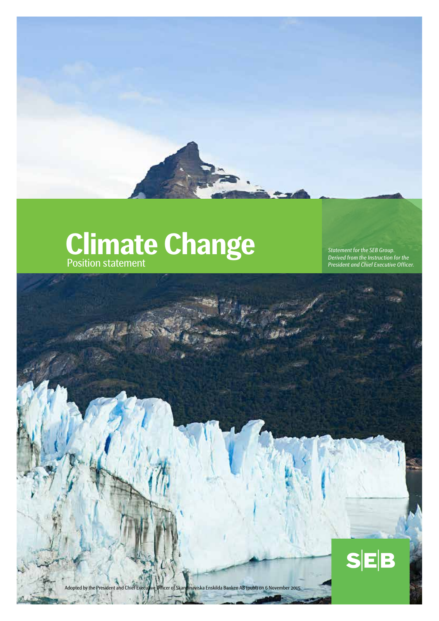# **Climate Change**

Position statement

*Statement for the SEB Group. Derived from the Instruction for the President and Chief Executive Officer.*

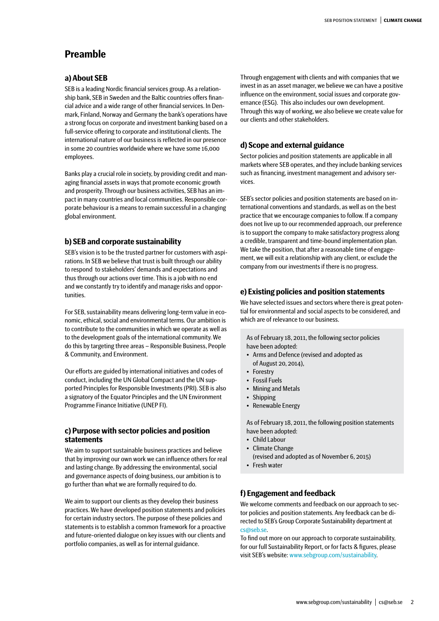# **Preamble**

## **a) About SEB**

SEB is a leading Nordic financial services group. As a relationship bank, SEB in Sweden and the Baltic countries offers financial advice and a wide range of other financial services. In Denmark, Finland, Norway and Germany the bank's operations have a strong focus on corporate and investment banking based on a full-service offering to corporate and institutional clients. The international nature of our business is reflected in our presence in some 20 countries worldwide where we have some 16,000 employees.

Banks play a crucial role in society, by providing credit and managing financial assets in ways that promote economic growth and prosperity. Through our business activities, SEB has an impact in many countries and local communities. Responsible corporate behaviour is a means to remain successful in a changing global environment.

## **b) SEB and corporate sustainability**

SEB's vision is to be the trusted partner for customers with aspirations. In SEB we believe that trust is built through our ability to respond to stakeholders' demands and expectations and thus through our actions over time. This is a job with no end and we constantly try to identify and manage risks and opportunities.

For SEB, sustainability means delivering long-term value in economic, ethical, social and environmental terms. Our ambition is to contribute to the communities in which we operate as well as to the development goals of the international community. We do this by targeting three areas – Responsible Business, People & Community, and Environment.

Our efforts are guided by international initiatives and codes of conduct, including the UN Global Compact and the UN supported Principles for Responsible Investments (PRI). SEB is also a signatory of the Equator Principles and the UN Environment Programme Finance Initiative (UNEP FI).

## **c) Purpose with sector policies and position statements**

We aim to support sustainable business practices and believe that by improving our own work we can influence others for real and lasting change. By addressing the environmental, social and governance aspects of doing business, our ambition is to go further than what we are formally required to do.

We aim to support our clients as they develop their business practices. We have developed position statements and policies for certain industry sectors. The purpose of these policies and statements is to establish a common framework for a proactive and future-oriented dialogue on key issues with our clients and portfolio companies, as well as for internal guidance.

Through engagement with clients and with companies that we invest in as an asset manager, we believe we can have a positive influence on the environment, social issues and corporate governance (ESG). This also includes our own development. Through this way of working, we also believe we create value for our clients and other stakeholders.

# **d) Scope and external guidance**

Sector policies and position statements are applicable in all markets where SEB operates, and they include banking services such as financing, investment management and advisory services.

SEB's sector policies and position statements are based on international conventions and standards, as well as on the best practice that we encourage companies to follow. If a company does not live up to our recommended approach, our preference is to support the company to make satisfactory progress along a credible, transparent and time-bound implementation plan. We take the position, that after a reasonable time of engagement, we will exit a relationship with any client, or exclude the company from our investments if there is no progress.

## **e) Existing policies and position statements**

We have selected issues and sectors where there is great potential for environmental and social aspects to be considered, and which are of relevance to our business.

As of February 18, 2011, the following sector policies have been adopted:

- Arms and Defence (revised and adopted as of August 20, 2014),
- Forestry
- Fossil Fuels
- Mining and Metals
- Shipping
- Renewable Energy

As of February 18, 2011, the following position statements have been adopted:

- Child Labour
- Climate Change
- (revised and adopted as of November 6, 2015) • Fresh water

# **f) Engagement and feedback**

We welcome comments and feedback on our approach to sector policies and position statements. Any feedback can be directed to SEB's Group Corporate Sustainability department at [cs@seb.se.](mailto:cs%40seb.se?subject=)

To find out more on our approach to corporate sustainability, for our full Sustainability Report, or for facts & figures, please visit SEB's website: [www.sebgroup.com/sustainability.](http://www.sebgroup.com/sustainability)